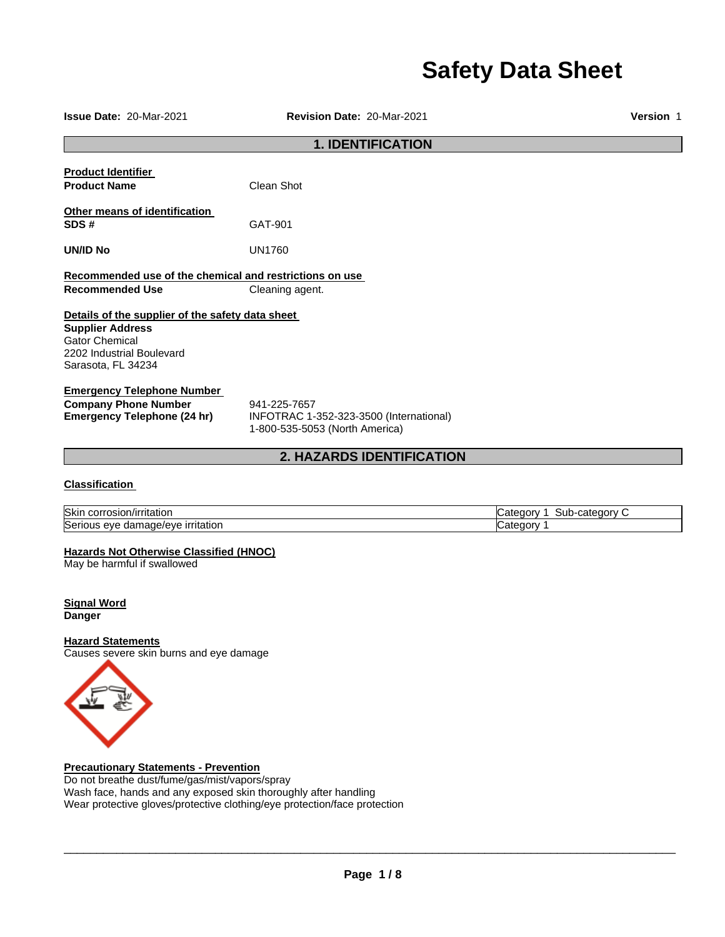# **Safety Data Sheet**

| <b>Issue Date: 20-Mar-2021</b>                                                                                                                          | Revision Date: 20-Mar-2021                                                                | Version 1 |  |  |
|---------------------------------------------------------------------------------------------------------------------------------------------------------|-------------------------------------------------------------------------------------------|-----------|--|--|
| <b>1. IDENTIFICATION</b>                                                                                                                                |                                                                                           |           |  |  |
| <b>Product Identifier</b><br><b>Product Name</b>                                                                                                        | Clean Shot                                                                                |           |  |  |
| Other means of identification<br>SDS#                                                                                                                   | GAT-901                                                                                   |           |  |  |
| <b>UN/ID No</b>                                                                                                                                         | <b>UN1760</b>                                                                             |           |  |  |
| Recommended use of the chemical and restrictions on use<br><b>Recommended Use</b><br>Cleaning agent.                                                    |                                                                                           |           |  |  |
| Details of the supplier of the safety data sheet<br><b>Supplier Address</b><br><b>Gator Chemical</b><br>2202 Industrial Boulevard<br>Sarasota, FL 34234 |                                                                                           |           |  |  |
| <b>Emergency Telephone Number</b><br><b>Company Phone Number</b><br><b>Emergency Telephone (24 hr)</b>                                                  | 941-225-7657<br>INFOTRAC 1-352-323-3500 (International)<br>1-800-535-5053 (North America) |           |  |  |
| <b>2. HAZARDS IDENTIFICATION</b>                                                                                                                        |                                                                                           |           |  |  |

# **Classification**

| Skin<br>rosion/irritation<br>CON                 | ----<br>∽-ubٽ<br>cate.<br>are<br>. .urv<br>:uor |
|--------------------------------------------------|-------------------------------------------------|
| , irritatior<br>Serious<br>aac/eve<br>eve<br>dar | eaor<br>ater.<br>. .                            |

# **Hazards Not Otherwise Classified (HNOC)**

May be harmful if swallowed

**Signal Word Danger** 

# **Hazard Statements**

Causes severe skin burns and eye damage



**Precautionary Statements - Prevention** Do not breathe dust/fume/gas/mist/vapors/spray

Wash face, hands and any exposed skin thoroughly after handling Wear protective gloves/protective clothing/eye protection/face protection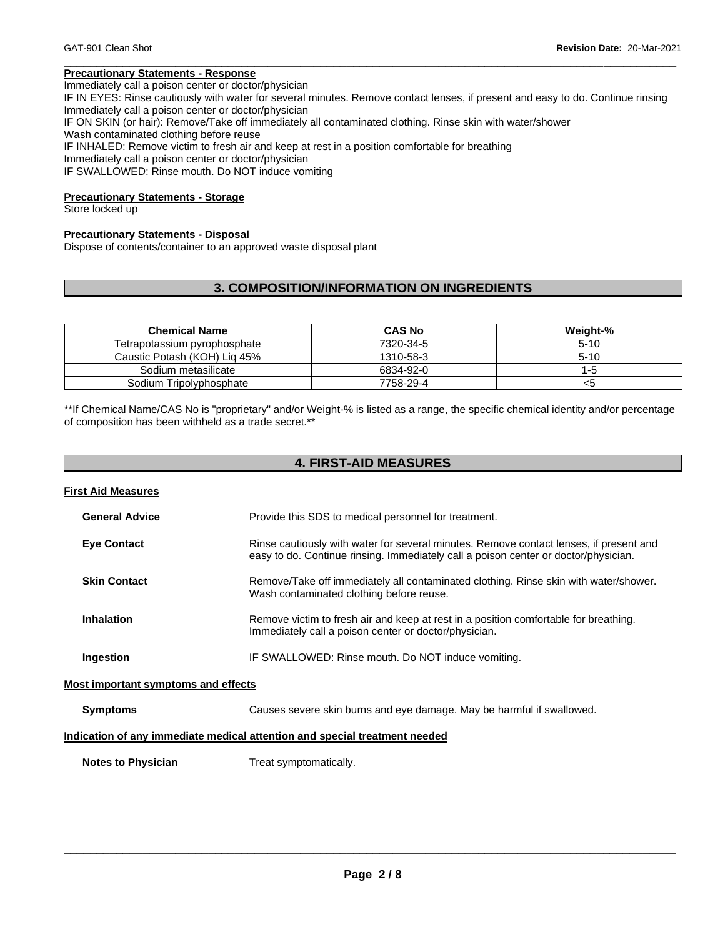# **Precautionary Statements - Response**

Immediately call a poison center or doctor/physician

IF IN EYES: Rinse cautiously with water for several minutes. Remove contact lenses, if present and easy to do. Continue rinsing Immediately call a poison center or doctor/physician IF ON SKIN (or hair): Remove/Take off immediately all contaminated clothing. Rinse skin with water/shower

\_\_\_\_\_\_\_\_\_\_\_\_\_\_\_\_\_\_\_\_\_\_\_\_\_\_\_\_\_\_\_\_\_\_\_\_\_\_\_\_\_\_\_\_\_\_\_\_\_\_\_\_\_\_\_\_\_\_\_\_\_\_\_\_\_\_\_\_\_\_\_\_\_\_\_\_\_\_\_\_\_\_\_\_\_\_\_\_\_\_\_\_\_

Wash contaminated clothing before reuse

IF INHALED: Remove victim to fresh air and keep at rest in a position comfortable for breathing

Immediately call a poison center or doctor/physician IF SWALLOWED: Rinse mouth. Do NOT induce vomiting

# **Precautionary Statements - Storage**

Store locked up

# **Precautionary Statements - Disposal**

Dispose of contents/container to an approved waste disposal plant

# **3. COMPOSITION/INFORMATION ON INGREDIENTS**

| <b>Chemical Name</b>         | <b>CAS No</b> | Weight-% |
|------------------------------|---------------|----------|
| Tetrapotassium pyrophosphate | 7320-34-5     | $5-10$   |
| Caustic Potash (KOH) Lig 45% | 1310-58-3     | $5-10$   |
| Sodium metasilicate          | 6834-92-0     | 1-5      |
| Sodium Tripolyphosphate      | 7758-29-4     | <5       |

\*\*If Chemical Name/CAS No is "proprietary" and/or Weight-% is listed as a range, the specific chemical identity and/or percentage of composition has been withheld as a trade secret.\*\*

| <b>4. FIRST-AID MEASURES</b>               |                                                                                                                                                                               |  |  |  |
|--------------------------------------------|-------------------------------------------------------------------------------------------------------------------------------------------------------------------------------|--|--|--|
| <b>First Aid Measures</b>                  |                                                                                                                                                                               |  |  |  |
| <b>General Advice</b>                      | Provide this SDS to medical personnel for treatment.                                                                                                                          |  |  |  |
| <b>Eye Contact</b>                         | Rinse cautiously with water for several minutes. Remove contact lenses, if present and<br>easy to do. Continue rinsing. Immediately call a poison center or doctor/physician. |  |  |  |
| <b>Skin Contact</b>                        | Remove/Take off immediately all contaminated clothing. Rinse skin with water/shower.<br>Wash contaminated clothing before reuse.                                              |  |  |  |
| <b>Inhalation</b>                          | Remove victim to fresh air and keep at rest in a position comfortable for breathing.<br>Immediately call a poison center or doctor/physician.                                 |  |  |  |
| Ingestion                                  | IF SWALLOWED: Rinse mouth. Do NOT induce vomiting.                                                                                                                            |  |  |  |
| <b>Most important symptoms and effects</b> |                                                                                                                                                                               |  |  |  |
| <b>Symptoms</b>                            | Causes severe skin burns and eye damage. May be harmful if swallowed.                                                                                                         |  |  |  |
|                                            | Indication of any immediate medical attention and special treatment needed                                                                                                    |  |  |  |
| <b>Notes to Physician</b>                  | Treat symptomatically.                                                                                                                                                        |  |  |  |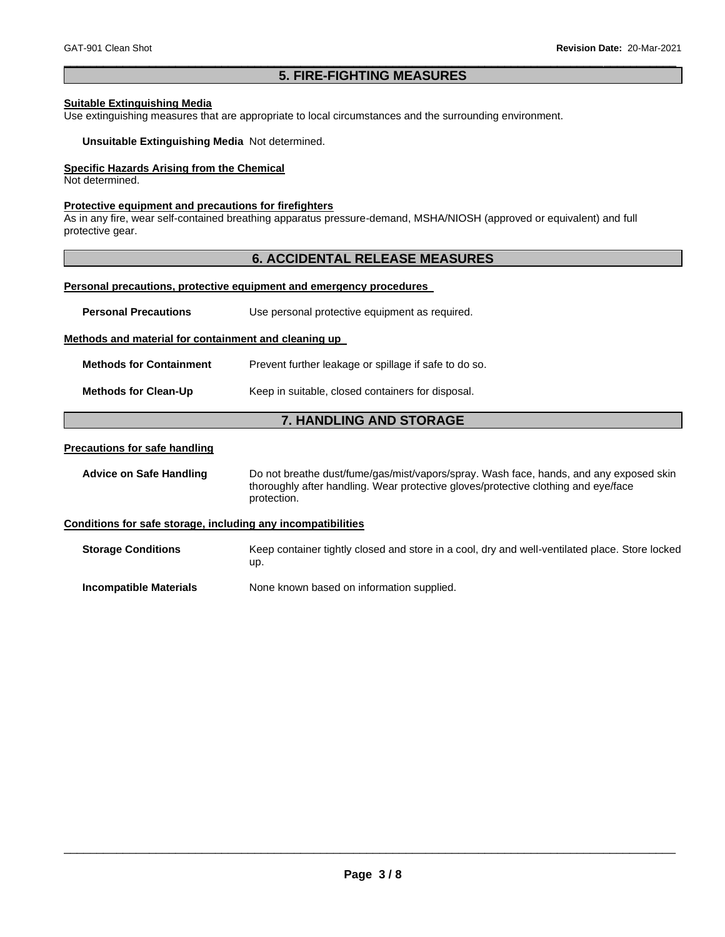# \_\_\_\_\_\_\_\_\_\_\_\_\_\_\_\_\_\_\_\_\_\_\_\_\_\_\_\_\_\_\_\_\_\_\_\_\_\_\_\_\_\_\_\_\_\_\_\_\_\_\_\_\_\_\_\_\_\_\_\_\_\_\_\_\_\_\_\_\_\_\_\_\_\_\_\_\_\_\_\_\_\_\_\_\_\_\_\_\_\_\_\_\_ **5. FIRE-FIGHTING MEASURES**

# **Suitable Extinguishing Media**

Use extinguishing measures that are appropriate to local circumstances and the surrounding environment.

**Unsuitable Extinguishing Media** Not determined.

# **Specific Hazards Arising from the Chemical**

Not determined.

### **Protective equipment and precautions for firefighters**

As in any fire, wear self-contained breathing apparatus pressure-demand, MSHA/NIOSH (approved or equivalent) and full protective gear.

# **6. ACCIDENTAL RELEASE MEASURES**

### **Personal precautions, protective equipment and emergency procedures**

| <b>Personal Precautions</b>                                         | Use personal protective equipment as required.                                                                                                                                              |  |  |
|---------------------------------------------------------------------|---------------------------------------------------------------------------------------------------------------------------------------------------------------------------------------------|--|--|
| Methods and material for containment and cleaning up                |                                                                                                                                                                                             |  |  |
| <b>Methods for Containment</b>                                      | Prevent further leakage or spillage if safe to do so.                                                                                                                                       |  |  |
| <b>Methods for Clean-Up</b>                                         | Keep in suitable, closed containers for disposal.                                                                                                                                           |  |  |
|                                                                     | <b>7. HANDLING AND STORAGE</b>                                                                                                                                                              |  |  |
| <b>Precautions for safe handling</b>                                |                                                                                                                                                                                             |  |  |
| <b>Advice on Safe Handling</b>                                      | Do not breathe dust/fume/gas/mist/vapors/spray. Wash face, hands, and any exposed skin<br>thoroughly after handling. Wear protective gloves/protective clothing and eye/face<br>protection. |  |  |
| <u>Conditions for safe storage, including any incompatibilities</u> |                                                                                                                                                                                             |  |  |
| <b>Storage Conditions</b>                                           | Keep container tightly closed and store in a cool, dry and well-ventilated place. Store locked<br>up.                                                                                       |  |  |
| <b>Incompatible Materials</b>                                       | None known based on information supplied.                                                                                                                                                   |  |  |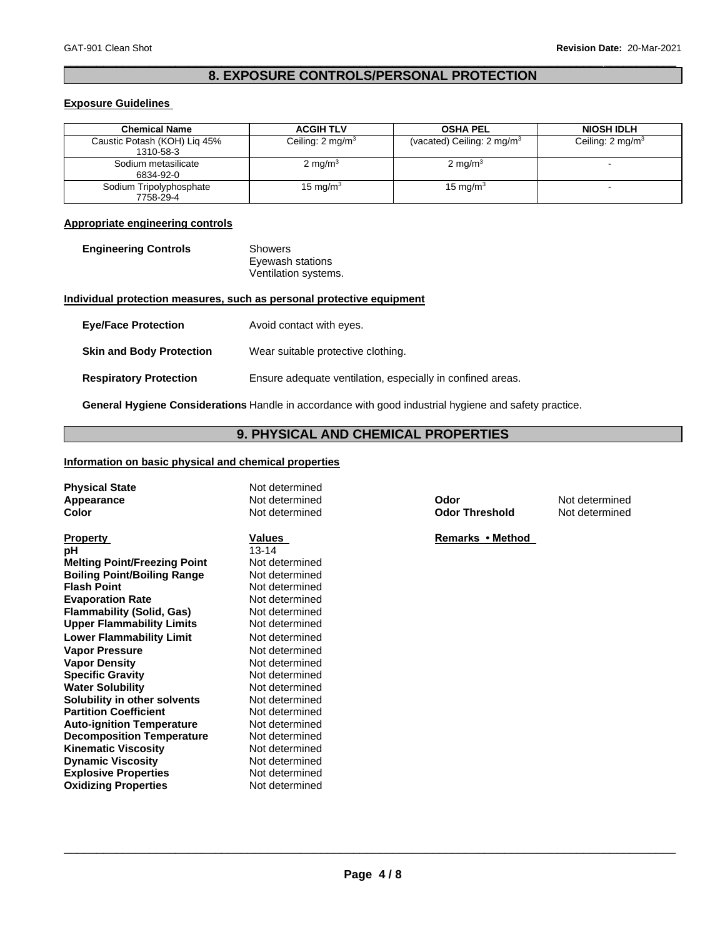# \_\_\_\_\_\_\_\_\_\_\_\_\_\_\_\_\_\_\_\_\_\_\_\_\_\_\_\_\_\_\_\_\_\_\_\_\_\_\_\_\_\_\_\_\_\_\_\_\_\_\_\_\_\_\_\_\_\_\_\_\_\_\_\_\_\_\_\_\_\_\_\_\_\_\_\_\_\_\_\_\_\_\_\_\_\_\_\_\_\_\_\_\_ **8. EXPOSURE CONTROLS/PERSONAL PROTECTION**

# **Exposure Guidelines**

| <b>Chemical Name</b>                      | <b>ACGIH TLV</b>            | <b>OSHA PEL</b>                       | <b>NIOSH IDLH</b>           |
|-------------------------------------------|-----------------------------|---------------------------------------|-----------------------------|
| Caustic Potash (KOH) Lig 45%<br>1310-58-3 | Ceiling: $2 \text{ mg/m}^3$ | (vacated) Ceiling: $2 \text{ mg/m}^3$ | Ceiling: $2 \text{ mg/m}^3$ |
| Sodium metasilicate<br>6834-92-0          | 2 mg/m $3$                  | 2 mg/m $3$                            |                             |
| Sodium Tripolyphosphate<br>7758-29-4      | 15 mg/m $3$                 | 15 mg/m $3$                           |                             |

# **Appropriate engineering controls**

| <b>Engineering Controls</b> | Showers              |  |
|-----------------------------|----------------------|--|
|                             | Eyewash stations     |  |
|                             | Ventilation systems. |  |

# **Individual protection measures, such as personal protective equipment**

| <b>Eye/Face Protection</b>      | Avoid contact with eyes.                                   |
|---------------------------------|------------------------------------------------------------|
| <b>Skin and Body Protection</b> | Wear suitable protective clothing.                         |
| <b>Respiratory Protection</b>   | Ensure adequate ventilation, especially in confined areas. |

**General Hygiene Considerations** Handle in accordance with good industrial hygiene and safety practice.

# **9. PHYSICAL AND CHEMICAL PROPERTIES**

# **Information on basic physical and chemical properties**

**Dynamic Viscosity**<br> **Explosive Properties**<br>
Not determined **Explosive Properties Not determined**<br> **Oxidizing Properties Not determined** 

**Oxidizing Properties** 

| <b>Physical State</b><br>Appearance<br>Color | Not determined<br>Not determined<br>Not determined | Odor<br><b>Odor Threshold</b> | Not determined<br>Not determined |
|----------------------------------------------|----------------------------------------------------|-------------------------------|----------------------------------|
| <b>Property</b>                              | Values                                             | Remarks • Method              |                                  |
| рH                                           | $13 - 14$                                          |                               |                                  |
| <b>Melting Point/Freezing Point</b>          | Not determined                                     |                               |                                  |
| <b>Boiling Point/Boiling Range</b>           | Not determined                                     |                               |                                  |
| <b>Flash Point</b>                           | Not determined                                     |                               |                                  |
| <b>Evaporation Rate</b>                      | Not determined                                     |                               |                                  |
| <b>Flammability (Solid, Gas)</b>             | Not determined                                     |                               |                                  |
| <b>Upper Flammability Limits</b>             | Not determined                                     |                               |                                  |
| <b>Lower Flammability Limit</b>              | Not determined                                     |                               |                                  |
| <b>Vapor Pressure</b>                        | Not determined                                     |                               |                                  |
| <b>Vapor Density</b>                         | Not determined                                     |                               |                                  |
| <b>Specific Gravity</b>                      | Not determined                                     |                               |                                  |
| <b>Water Solubility</b>                      | Not determined                                     |                               |                                  |
| Solubility in other solvents                 | Not determined                                     |                               |                                  |
| <b>Partition Coefficient</b>                 | Not determined                                     |                               |                                  |
| <b>Auto-ignition Temperature</b>             | Not determined                                     |                               |                                  |
| <b>Decomposition Temperature</b>             | Not determined                                     |                               |                                  |
| <b>Kinematic Viscosity</b>                   | Not determined                                     |                               |                                  |
| <b>Dynamic Viscosity</b>                     | Not determined                                     |                               |                                  |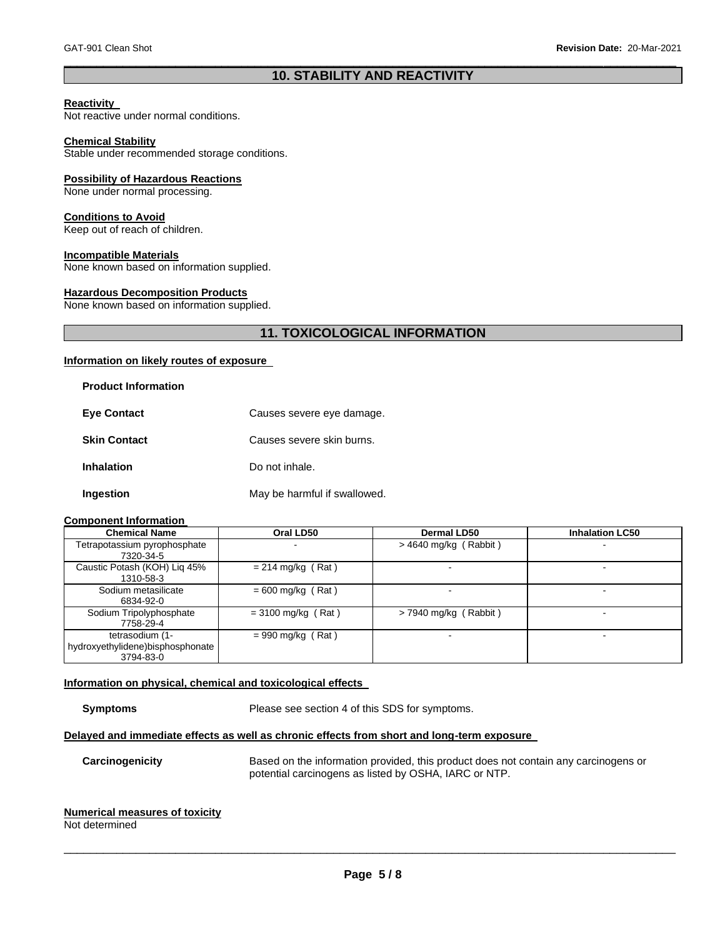# \_\_\_\_\_\_\_\_\_\_\_\_\_\_\_\_\_\_\_\_\_\_\_\_\_\_\_\_\_\_\_\_\_\_\_\_\_\_\_\_\_\_\_\_\_\_\_\_\_\_\_\_\_\_\_\_\_\_\_\_\_\_\_\_\_\_\_\_\_\_\_\_\_\_\_\_\_\_\_\_\_\_\_\_\_\_\_\_\_\_\_\_\_ **10. STABILITY AND REACTIVITY**

### **Reactivity**

Not reactive under normal conditions.

# **Chemical Stability**

Stable under recommended storage conditions.

### **Possibility of Hazardous Reactions**

None under normal processing.

### **Conditions to Avoid**

Keep out of reach of children.

### **Incompatible Materials**

None known based on information supplied.

### **Hazardous Decomposition Products**

None known based on information supplied.

# **11. TOXICOLOGICAL INFORMATION**

# **Information on likely routes of exposure**

| <b>Product Information</b> |                              |
|----------------------------|------------------------------|
| <b>Eye Contact</b>         | Causes severe eye damage.    |
| <b>Skin Contact</b>        | Causes severe skin burns.    |
| <b>Inhalation</b>          | Do not inhale.               |
| Ingestion                  | May be harmful if swallowed. |

### **Component Information**

| <b>Chemical Name</b>                                             | Oral LD50            | <b>Dermal LD50</b>      | <b>Inhalation LC50</b> |
|------------------------------------------------------------------|----------------------|-------------------------|------------------------|
| Tetrapotassium pyrophosphate<br>7320-34-5                        |                      | $>$ 4640 mg/kg (Rabbit) |                        |
| Caustic Potash (KOH) Lig 45%<br>1310-58-3                        | $= 214$ mg/kg (Rat)  |                         |                        |
| Sodium metasilicate<br>6834-92-0                                 | $= 600$ mg/kg (Rat)  |                         |                        |
| Sodium Tripolyphosphate<br>7758-29-4                             | $=$ 3100 mg/kg (Rat) | $>$ 7940 mg/kg (Rabbit) |                        |
| tetrasodium (1-<br>hydroxyethylidene)bisphosphonate<br>3794-83-0 | $= 990$ mg/kg (Rat)  |                         | ۰                      |

# **Information on physical, chemical and toxicological effects**

**Symptoms** Please see section 4 of this SDS for symptoms.

# **Delayed and immediate effects as well as chronic effects from short and long-term exposure**

**Carcinogenicity** Based on the information provided, this product does not contain any carcinogens or potential carcinogens as listed by OSHA, IARC or NTP.

# **Numerical measures of toxicity**

Not determined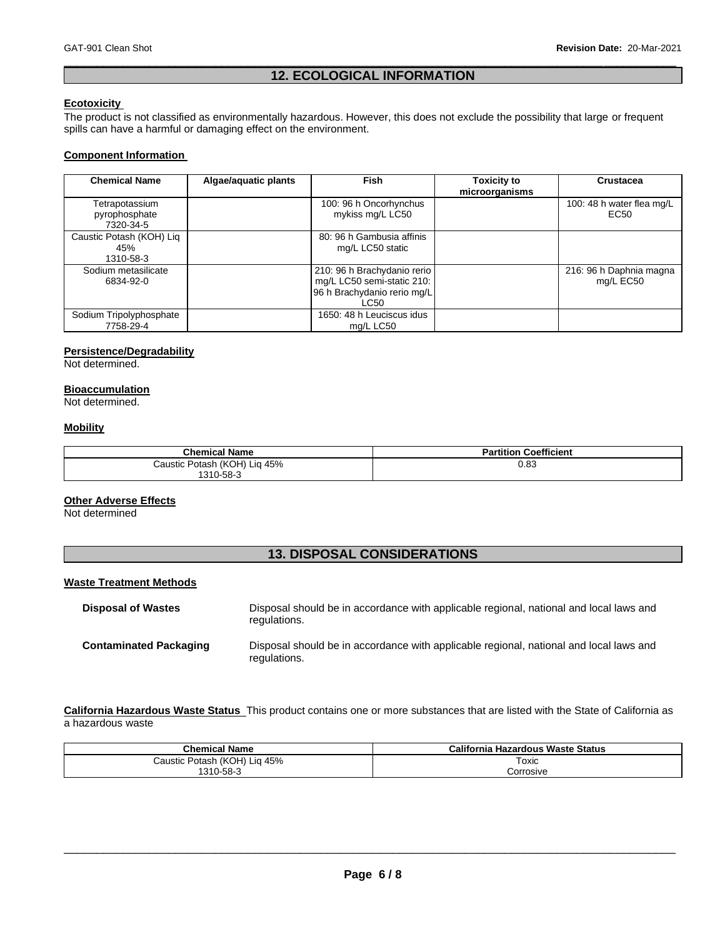# \_\_\_\_\_\_\_\_\_\_\_\_\_\_\_\_\_\_\_\_\_\_\_\_\_\_\_\_\_\_\_\_\_\_\_\_\_\_\_\_\_\_\_\_\_\_\_\_\_\_\_\_\_\_\_\_\_\_\_\_\_\_\_\_\_\_\_\_\_\_\_\_\_\_\_\_\_\_\_\_\_\_\_\_\_\_\_\_\_\_\_\_\_ **12. ECOLOGICAL INFORMATION**

# **Ecotoxicity**

The product is not classified as environmentally hazardous. However, this does not exclude the possibility that large or frequent spills can have a harmful or damaging effect on the environment.

# **Component Information**

| <b>Chemical Name</b>                         | Algae/aquatic plants | <b>Fish</b>                                                                                      | <b>Toxicity to</b><br>microorganisms | Crustacea                            |
|----------------------------------------------|----------------------|--------------------------------------------------------------------------------------------------|--------------------------------------|--------------------------------------|
| Tetrapotassium<br>pyrophosphate<br>7320-34-5 |                      | 100: 96 h Oncorhynchus<br>mykiss mg/L LC50                                                       |                                      | 100: 48 h water flea mg/L<br>EC50    |
| Caustic Potash (KOH) Liq<br>45%<br>1310-58-3 |                      | 80: 96 h Gambusia affinis<br>mg/L LC50 static                                                    |                                      |                                      |
| Sodium metasilicate<br>6834-92-0             |                      | 210: 96 h Brachydanio rerio<br>mg/L LC50 semi-static 210:<br>96 h Brachydanio rerio mg/L<br>LC50 |                                      | 216: 96 h Daphnia magna<br>mg/L EC50 |
| Sodium Tripolyphosphate<br>7758-29-4         |                      | 1650: 48 h Leuciscus idus<br>ma/L LC50                                                           |                                      |                                      |

### **Persistence/Degradability**

Not determined.

# **Bioaccumulation**

Not determined.

# **Mobility**

| <b>Chemical Name</b>         | <b>Partition Coefficient</b> |
|------------------------------|------------------------------|
| Caustic Potash (KOH) Lig 45% | 0.83                         |
| 1310-58-3                    |                              |

# **Other Adverse Effects**

Not determined

# **13. DISPOSAL CONSIDERATIONS**

# **Waste Treatment Methods**

| <b>Disposal of Wastes</b>     | Disposal should be in accordance with applicable regional, national and local laws and<br>regulations. |
|-------------------------------|--------------------------------------------------------------------------------------------------------|
| <b>Contaminated Packaging</b> | Disposal should be in accordance with applicable regional, national and local laws and<br>regulations. |

**California Hazardous Waste Status** This product contains one or more substances that are listed with the State of California as a hazardous waste

| <b>Chemical Name</b>            | California Hazardous Waste Status |
|---------------------------------|-----------------------------------|
| Potash (KOH) Lig 45%<br>Caustic | $T$ oxic                          |
| 1310-58-3                       | Corrosive                         |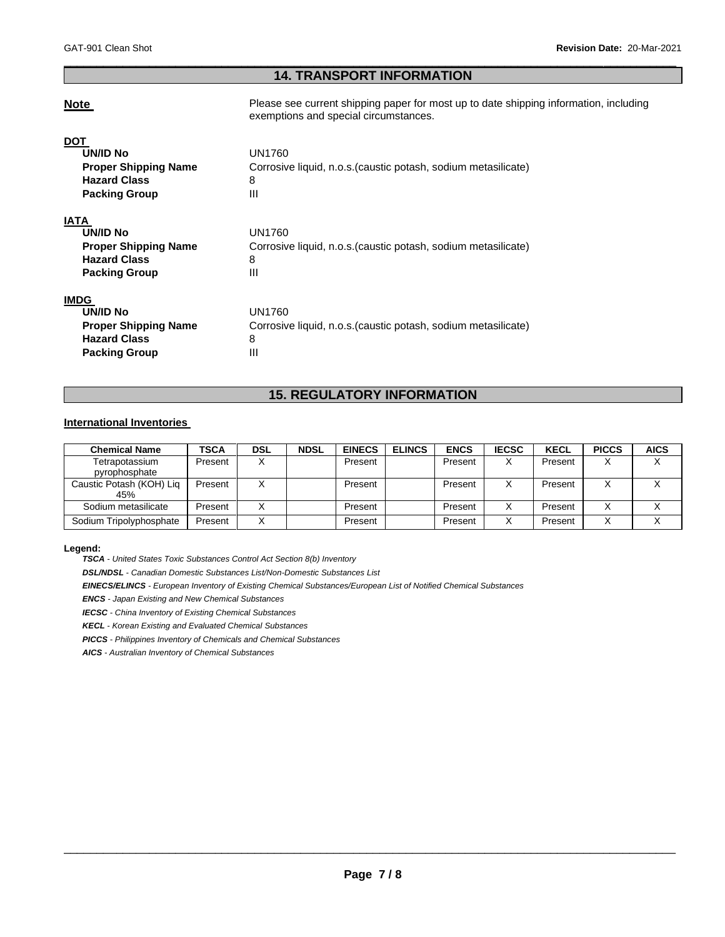# \_\_\_\_\_\_\_\_\_\_\_\_\_\_\_\_\_\_\_\_\_\_\_\_\_\_\_\_\_\_\_\_\_\_\_\_\_\_\_\_\_\_\_\_\_\_\_\_\_\_\_\_\_\_\_\_\_\_\_\_\_\_\_\_\_\_\_\_\_\_\_\_\_\_\_\_\_\_\_\_\_\_\_\_\_\_\_\_\_\_\_\_\_ **14. TRANSPORT INFORMATION**

**Note Please see current shipping paper for most up to date shipping information, including** exemptions and special circumstances.

| <b>DOT</b><br>UN/ID No<br><b>Proper Shipping Name</b><br><b>Hazard Class</b><br><b>Packing Group</b>  | UN1760<br>Corrosive liquid, n.o.s. (caustic potash, sodium metasilicate)<br>8<br>Ш |
|-------------------------------------------------------------------------------------------------------|------------------------------------------------------------------------------------|
| <b>IATA</b><br>UN/ID No<br><b>Proper Shipping Name</b><br><b>Hazard Class</b><br><b>Packing Group</b> | UN1760<br>Corrosive liquid, n.o.s. (caustic potash, sodium metasilicate)<br>8<br>Ш |
| <b>IMDG</b><br>UN/ID No<br><b>Proper Shipping Name</b><br><b>Hazard Class</b><br><b>Packing Group</b> | UN1760<br>Corrosive liquid, n.o.s. (caustic potash, sodium metasilicate)<br>8<br>Ш |

# **15. REGULATORY INFORMATION**

# **International Inventories**

| <b>Chemical Name</b>            | TSCA    | DSL | <b>NDSL</b> | <b>EINECS</b> | <b>ELINCS</b> | <b>ENCS</b> | <b>IECSC</b>      | <b>KECL</b> | <b>PICCS</b> | <b>AICS</b> |
|---------------------------------|---------|-----|-------------|---------------|---------------|-------------|-------------------|-------------|--------------|-------------|
| Tetrapotassium<br>pyrophosphate | Present |     |             | Present       |               | Present     | $\checkmark$<br>⋏ | Present     |              |             |
| Caustic Potash (KOH) Lig<br>45% | Present |     |             | Present       |               | Present     | $\checkmark$      | Present     |              |             |
| Sodium metasilicate             | Present |     |             | Present       |               | Present     | х                 | Present     |              |             |
| Sodium Tripolyphosphate         | Present |     |             | Present       |               | Present     | ◡                 | Present     |              |             |

### **Legend:**

*TSCA - United States Toxic Substances Control Act Section 8(b) Inventory* 

*DSL/NDSL - Canadian Domestic Substances List/Non-Domestic Substances List* 

*EINECS/ELINCS - European Inventory of Existing Chemical Substances/European List of Notified Chemical Substances* 

*ENCS - Japan Existing and New Chemical Substances* 

*IECSC - China Inventory of Existing Chemical Substances* 

*KECL - Korean Existing and Evaluated Chemical Substances* 

*PICCS - Philippines Inventory of Chemicals and Chemical Substances* 

*AICS - Australian Inventory of Chemical Substances*